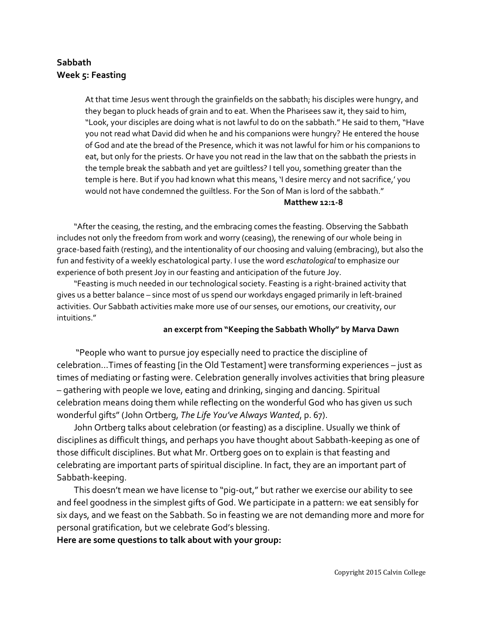# **Sabbath Week 5: Feasting**

At that time Jesus went through the grainfields on the sabbath; his disciples were hungry, and they began to pluck heads of grain and to eat. When the Pharisees saw it, they said to him, "Look, your disciples are doing what is not lawful to do on the sabbath." He said to them, "Have you not read what David did when he and his companions were hungry? He entered the house of God and ate the bread of the Presence, which it was not lawful for him or his companions to eat, but only for the priests. Or have you not read in the law that on the sabbath the priests in the temple break the sabbath and yet are guiltless? I tell you, something greater than the temple is here. But if you had known what this means, 'I desire mercy and not sacrifice,' you would not have condemned the guiltless. For the Son of Man is lord of the sabbath."

#### **Matthew 12:1-8**

"After the ceasing, the resting, and the embracing comes the feasting. Observing the Sabbath includes not only the freedom from work and worry (ceasing), the renewing of our whole being in grace-based faith (resting), and the intentionality of our choosing and valuing (embracing), but also the fun and festivity of a weekly eschatological party. I use the word *eschatological* to emphasize our experience of both present Joy in our feasting and anticipation of the future Joy.

"Feasting is much needed in our technological society. Feasting is a right-brained activity that gives us a better balance – since most of us spend our workdays engaged primarily in left-brained activities. Our Sabbath activities make more use of our senses, our emotions, our creativity, our intuitions."

### **an excerpt from "Keeping the Sabbath Wholly" by Marva Dawn**

"People who want to pursue joy especially need to practice the discipline of celebration…Times of feasting [in the Old Testament] were transforming experiences – just as times of mediating or fasting were. Celebration generally involves activities that bring pleasure – gathering with people we love, eating and drinking, singing and dancing. Spiritual celebration means doing them while reflecting on the wonderful God who has given us such wonderful gifts" (John Ortberg, *The Life You've Always Wanted*, p. 67).

John Ortberg talks about celebration (or feasting) as a discipline. Usually we think of disciplines as difficult things, and perhaps you have thought about Sabbath-keeping as one of those difficult disciplines. But what Mr. Ortberg goes on to explain is that feasting and celebrating are important parts of spiritual discipline. In fact, they are an important part of Sabbath-keeping.

This doesn't mean we have license to "pig-out," but rather we exercise our ability to see and feel goodness in the simplest gifts of God. We participate in a pattern: we eat sensibly for six days, and we feast on the Sabbath. So in feasting we are not demanding more and more for personal gratification, but we celebrate God's blessing.

### **Here are some questions to talk about with your group:**